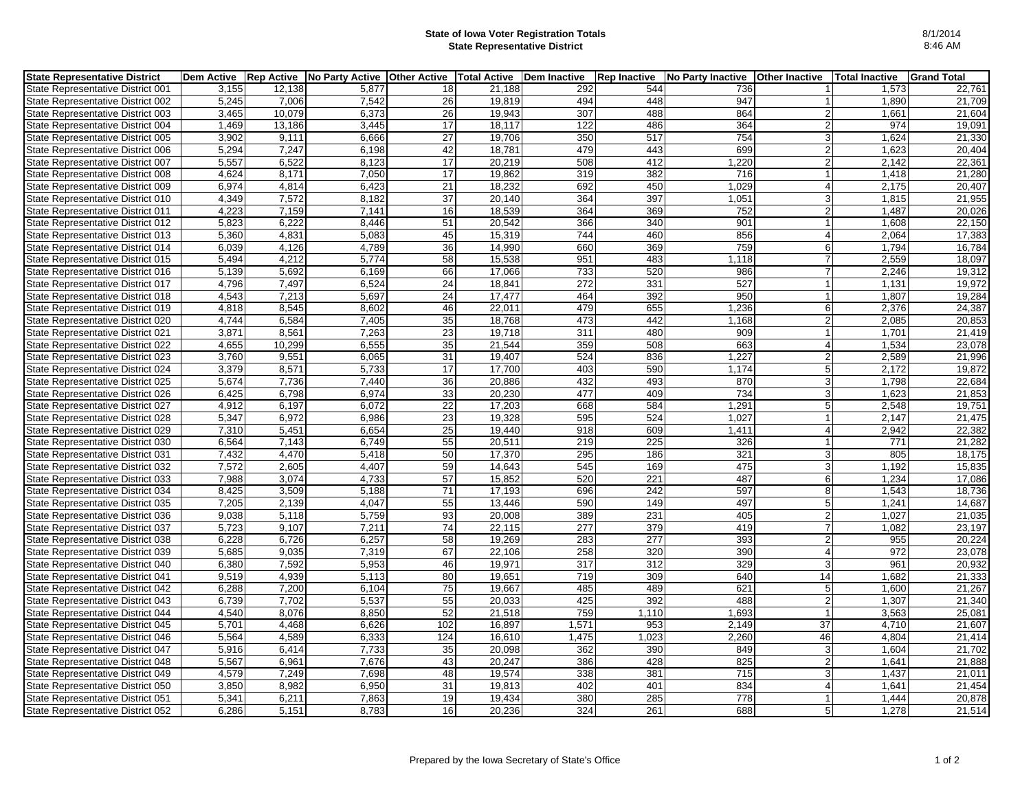## **State of Iowa Voter Registration Totals State Representative District**

| <b>State Representative District</b> |       |        | Dem Active   Rep Active   No Party Active   Other Active   Total Active |                 |        | Dem Inactive | <b>Rep Inactive</b> | <b>No Party Inactive</b> | <b>Other Inactive</b> | <b>Total Inactive</b> | <b>Grand Total</b> |
|--------------------------------------|-------|--------|-------------------------------------------------------------------------|-----------------|--------|--------------|---------------------|--------------------------|-----------------------|-----------------------|--------------------|
| State Representative District 001    | 3.155 | 12,138 | 5.877                                                                   | 18              | 21.188 | 292          | 544                 | 736                      |                       | 1,573                 | 22,761             |
| State Representative District 002    | 5.245 | 7.006  | 7.542                                                                   | 26              | 19.819 | 494          | 448                 | 947                      |                       | 1.890                 | 21.709             |
| State Representative District 003    | 3,465 | 10,079 | 6,373                                                                   | 26              | 19,943 | 307          | 488                 | 864                      | $\overline{2}$        | 1,661                 | 21,604             |
| State Representative District 004    | 1.469 | 13,186 | 3.445                                                                   | 17              | 18.117 | 122          | 486                 | 364                      | $\overline{2}$        | 974                   | 19.091             |
| State Representative District 005    | 3,902 | 9,111  | 6,666                                                                   | 27              | 19,706 | 350          | 517                 | 754                      | $\overline{3}$        | 1,624                 | 21,330             |
| State Representative District 006    | 5,294 | 7,247  | 6,198                                                                   | 42              | 18,781 | 479          | 443                 | 699                      | 2                     | 1,623                 | 20,404             |
| State Representative District 007    | 5,557 | 6,522  | 8,123                                                                   | 17              | 20,219 | 508          | 412                 | 1,220                    | $\overline{2}$        | 2,142                 | 22,361             |
| State Representative District 008    | 4,624 | 8,171  | 7,050                                                                   | 17              | 19,862 | 319          | 382                 | 716                      |                       | 1,418                 | 21,280             |
| State Representative District 009    | 6,974 | 4,814  | 6.423                                                                   | 21              | 18,232 | 692          | 450                 | 1,029                    | $\overline{4}$        | 2,175                 | 20.407             |
| State Representative District 010    | 4,349 | 7,572  | 8,182                                                                   | $\overline{37}$ | 20,140 | 364          | 397                 | 1,051                    | 3 <sup>1</sup>        | 1,815                 | 21,955             |
| State Representative District 011    | 4,223 | 7,159  | 7,141                                                                   | 16              | 18,539 | 364          | 369                 | 752                      | $\overline{2}$        | 1,487                 | 20,026             |
| State Representative District 012    | 5,823 | 6,222  | 8,446                                                                   | 51              | 20,542 | 366          | 340                 | 901                      |                       | 1,608                 | 22,150             |
| State Representative District 013    | 5,360 | 4,831  | 5,083                                                                   | 45              | 15,319 | 744          | 460                 | 856                      | $\overline{4}$        | 2,064                 | 17,383             |
| State Representative District 014    | 6,039 | 4,126  | 4,789                                                                   | 36              | 14,990 | 660          | 369                 | 759                      | 6                     | 1,794                 | 16,784             |
| State Representative District 015    | 5,494 | 4,212  | 5,774                                                                   | 58              | 15,538 | 951          | 483                 | 1,118                    |                       | 2,559                 | 18,097             |
| State Representative District 016    | 5,139 | 5,692  | 6,169                                                                   | 66              | 17,066 | 733          | 520                 | 986                      | $\overline{7}$        | 2,246                 | 19,312             |
| State Representative District 017    | 4,796 | 7,497  | 6,524                                                                   | 24              | 18,841 | 272          | 331                 | 527                      | $\mathbf{1}$          | 1,131                 | 19,972             |
| State Representative District 018    | 4,543 | 7,213  | 5,697                                                                   | 24              | 17,477 | 464          | 392                 | 950                      |                       | 1,807                 | 19,284             |
| State Representative District 019    | 4,818 | 8,545  | 8,602                                                                   | 46              | 22,011 | 479          | 655                 | 1,236                    | $6 \,$                | 2,376                 | 24,387             |
| State Representative District 020    | 4,744 | 6,584  | 7,405                                                                   | 35              | 18,768 | 473          | 442                 | 1,168                    | $\overline{2}$        | 2,085                 | 20,853             |
| State Representative District 021    | 3,871 | 8,561  | 7,263                                                                   | 23              | 19.718 | 311          | 480                 | 909                      |                       | 1,701                 | 21,419             |
| State Representative District 022    | 4,655 | 10,299 | 6,555                                                                   | 35              | 21,544 | 359          | 508                 | 663                      | $\overline{4}$        | 1,534                 | 23,078             |
| State Representative District 023    | 3,760 | 9,551  | 6,065                                                                   | 31              | 19.407 | 524          | 836                 | 1,227                    | $\overline{2}$        | 2,589                 | 21,996             |
| State Representative District 024    | 3,379 | 8,571  | 5,733                                                                   | 17              | 17,700 | 403          | 590                 | 1,174                    | 5                     | 2,172                 | 19,872             |
| State Representative District 025    | 5,674 | 7,736  | 7,440                                                                   | 36              | 20,886 | 432          | 493                 | 870                      | 3                     | 1,798                 | 22,684             |
| State Representative District 026    | 6,425 | 6,798  | 6,974                                                                   | 33              | 20,230 | 477          | 409                 | 734                      | 3 <sup>1</sup>        | 1,623                 | 21,853             |
| State Representative District 027    | 4,912 | 6,197  | 6,072                                                                   | $\overline{22}$ | 17,203 | 668          | 584                 | 1,291                    | 5 <sup>5</sup>        | 2,548                 | 19,751             |
| State Representative District 028    | 5,347 | 6,972  | 6,986                                                                   | 23              | 19,328 | 595          | 524                 | 1,027                    | -1                    | 2,147                 | 21,475             |
| State Representative District 029    | 7,310 | 5,451  | 6,654                                                                   | 25              | 19,440 | 918          | 609                 | 1,411                    | $\overline{4}$        | 2,942                 | 22,382             |
| State Representative District 030    | 6,564 | 7,143  | 6,749                                                                   | $\overline{55}$ | 20,511 | 219          | 225                 | 326                      |                       | 771                   | 21,282             |
| State Representative District 031    | 7,432 | 4,470  | 5,418                                                                   | 50              | 17,370 | 295          | 186                 | 321                      | 3                     | 805                   | 18,175             |
| State Representative District 032    | 7,572 | 2,605  | 4.407                                                                   | 59              | 14.643 | 545          | 169                 | 475                      | 3 <sup>1</sup>        | 1,192                 | 15,835             |
| State Representative District 033    | 7,988 | 3,074  | 4,733                                                                   | 57              | 15,852 | 520          | 221                 | 487                      | $6 \,$                | 1,234                 | 17,086             |
| State Representative District 034    | 8.425 | 3,509  | 5,188                                                                   | 71              | 17,193 | 696          | 242                 | 597                      | 8 <sup>1</sup>        | 1,543                 | 18,736             |
| State Representative District 035    | 7,205 | 2.139  | 4,047                                                                   | 55              | 13.446 | 590          | 149                 | 497                      | 5 <sup>1</sup>        | 1,241                 | 14,687             |
| State Representative District 036    | 9,038 | 5,118  | 5,759                                                                   | 93              | 20,008 | 389          | 231                 | 405                      | $\overline{2}$        | 1,027                 | 21,035             |
| State Representative District 037    | 5.723 | 9.107  | 7,211                                                                   | 74              | 22.115 | 277          | 379                 | 419                      |                       | 1.082                 | 23.197             |
| State Representative District 038    | 6,228 | 6,726  | 6,257                                                                   | 58              | 19,269 | 283          | 277                 | 393                      | $\overline{2}$        | 955                   | 20,224             |
| State Representative District 039    | 5,685 | 9,035  | 7,319                                                                   | 67              | 22,106 | 258          | 320                 | 390                      | $\overline{4}$        | 972                   | 23,078             |
| State Representative District 040    | 6,380 | 7,592  | 5,953                                                                   | 46              | 19,971 | 317          | 312                 | 329                      | 3                     | 961                   | 20,932             |
| State Representative District 041    | 9,519 | 4,939  | 5,113                                                                   | 80              | 19,651 | 719          | 309                 | 640                      | 14                    | 1,682                 | 21,333             |
| State Representative District 042    | 6,288 | 7,200  | 6.104                                                                   | 75              | 19.667 | 485          | 489                 | 621                      | 5                     | 1.600                 | 21,267             |
| State Representative District 043    | 6,739 | 7,702  | 5,537                                                                   | 55              | 20,033 | 425          | 392                 | 488                      | $\overline{2}$        | 1,307                 | 21,340             |
| State Representative District 044    | 4.540 | 8,076  | 8.850                                                                   | 52              | 21.518 | 759          | 1.110               | 1,693                    |                       | 3,563                 | 25.081             |
| State Representative District 045    | 5,701 | 4,468  | 6,626                                                                   | 102             | 16,897 | 1,571        | 953                 | 2,149                    | 37                    | 4,710                 | 21,607             |
| State Representative District 046    | 5,564 | 4,589  | 6,333                                                                   | 124             | 16,610 | 1,475        | 1,023               | 2,260                    | 46                    | 4,804                 | 21,414             |
| State Representative District 047    | 5,916 | 6,414  | 7,733                                                                   | 35              | 20.098 | 362          | 390                 | 849                      | 3                     | 1.604                 | 21,702             |
| State Representative District 048    | 5,567 | 6,961  | 7,676                                                                   | 43              | 20,247 | 386          | 428                 | 825                      | $\overline{2}$        | 1,641                 | 21,888             |
| State Representative District 049    | 4,579 | 7,249  | 7,698                                                                   | 48              | 19,574 | 338          | 381                 | 715                      | 3                     | 1,437                 | 21,011             |
| State Representative District 050    | 3,850 | 8,982  | 6,950                                                                   | 31              | 19,813 | 402          | 401                 | 834                      | $\overline{4}$        | 1,641                 | 21,454             |
| State Representative District 051    | 5,341 | 6,211  | 7,863                                                                   | 19              | 19,434 | 380          | 285                 | 778                      |                       | 1,444                 | 20,878             |
| State Representative District 052    | 6,286 | 5,151  | 8,783                                                                   | 16              | 20,236 | 324          | 261                 | 688                      | 5 <sup>1</sup>        | 1,278                 | 21,514             |
|                                      |       |        |                                                                         |                 |        |              |                     |                          |                       |                       |                    |